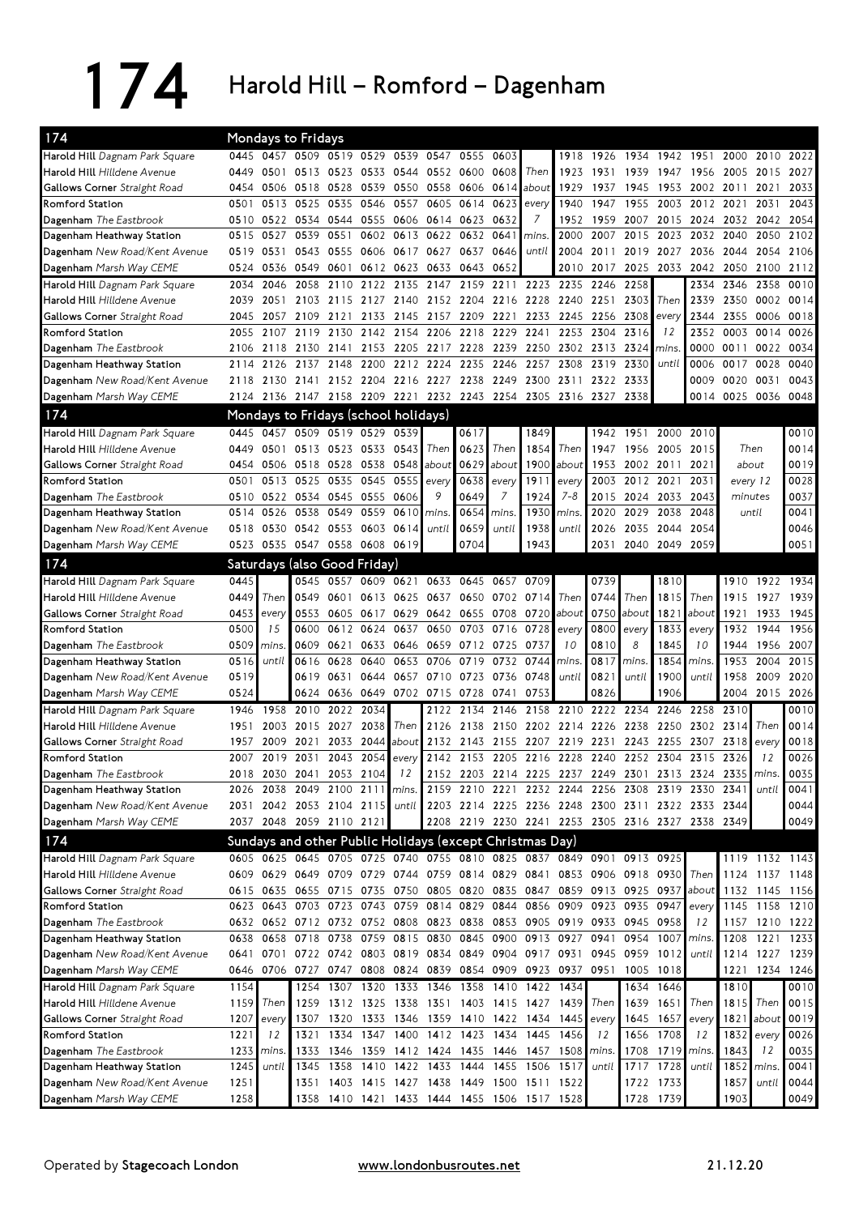174 Harold Hill – Romford – Dagenham

| 174                                                    |      |       | Mondays to Fridays                                                    |                     |                |                          |                               |           |           |                                                                       |                |       |                          |                 |                                                                                  |          |                |                |
|--------------------------------------------------------|------|-------|-----------------------------------------------------------------------|---------------------|----------------|--------------------------|-------------------------------|-----------|-----------|-----------------------------------------------------------------------|----------------|-------|--------------------------|-----------------|----------------------------------------------------------------------------------|----------|----------------|----------------|
| Harold Hill Dagnam Park Square                         | 0445 | 0457  |                                                                       | 0509 0519 0529      |                | 0539                     | 0547                          | 0555      | 0603      |                                                                       | 1918           | 1926  |                          | 1934 1942       | 1951                                                                             | 2000     | 2010           | 2022           |
| Harold Hill Hilldene Avenue                            | 0449 | 0501  |                                                                       | 0513 0523           |                | 0533 0544                | 0552                          | 0600      | 0608      | Then                                                                  | 1923           | 1931  | 1939                     | 1947            | 1956                                                                             | 2005     | 2015           | 2027           |
| <b>Gallows Corner</b> Straight Road                    | 0454 | 0506  | 0518                                                                  | 0528                | 0539           | 0550                     | 0558                          | 0606      | 0614      | about                                                                 | 1929           | 1937  | 1945                     | 1953            | 2002                                                                             | 2011     | 2021           | 2033           |
| Romford Station                                        | 0501 | 0513  | 0525                                                                  | 0535                | 0546           | 0557                     | 0605                          | 0614      | 0623      | every                                                                 | 1940           | 1947  | 1955                     | 2003            | 2012                                                                             | 2021     | 2031           | 2043           |
| Dagenham The Eastbrook                                 | 0510 | 0522  | 0534                                                                  | 0544                | 0555           | 0606                     | 0614                          | 0623      | 0632      | 7                                                                     | 1952           | 1959  | 2007                     | 2015            | 2024                                                                             | 2032     | 2042           | 2054           |
| Dagenham Heathway Station                              | 0515 | 0527  | 0539                                                                  | 0551                | 0602           | 0613                     | 0622                          | 0632      | 0641      | mins.                                                                 | 2000           | 2007  | 2015                     | 2023            | 2032                                                                             | 2040     | 2050           | 2102           |
| Dagenham New Road/Kent Avenue                          | 0519 | 0531  | 0543                                                                  | 0555                | 0606           | 0617                     | 0627                          | 0637      | 0646      | until                                                                 | 2004           | 2011  | 2019                     | 2027            | 2036                                                                             | 2044     | 2054           | 2106           |
| Dagenham Marsh Way CEME                                | 0524 | 0536  | 0549                                                                  | 0601                |                | 0612 0623                | 0633                          | 0643 0652 |           |                                                                       | 2010           | 2017  | 2025                     | 2033            | 2042                                                                             | 2050     | 2100           | 2112           |
| Harold Hill Dagnam Park Square                         | 2034 | 2046  | 2058                                                                  | 2110                | 2122           | 2135                     | 2147                          | 2159      | 2211      | 2223                                                                  | 2235           | 2246  | 2258                     |                 | 2334                                                                             | 2346     | 2358           | 0010           |
| <b>Harold Hill</b> <i>Hilldene Avenue</i>              | 2039 | 2051  |                                                                       | 2103 2115           |                |                          | 2127 2140 2152 2204 2216 2228 |           |           |                                                                       | 2240 2251      |       | 2303                     | Then            | 2339                                                                             | 2350     | 0002 0014      |                |
| <b>Gallows Corner</b> Straight Road                    | 2045 | 2057  | 2109 2121                                                             |                     | 2133           | 2145                     | 2157 2209 2221                |           |           | 2233                                                                  | 2245 2256      |       | 2308                     | every           | 2344                                                                             | 2355     | 0006           | 0018           |
| Romford Station                                        | 2055 | 2107  | 2119                                                                  | 2130                |                | 2142 2154                | 2206                          | 2218 2229 |           | 2241                                                                  | 2253           | 2304  | 2316                     | 12              | 2352                                                                             | 0003     | 0014           | 0026           |
| Dagenham The Eastbrook                                 | 2106 | 2118  | 2130 2141                                                             |                     |                |                          | 2153 2205 2217 2228 2239      |           |           |                                                                       | 2250 2302 2313 |       | 2324                     | mins.           | 0000                                                                             |          | 0011 0022      | 0034           |
| Dagenham Heathway Station                              | 2114 | 2126  | 2137                                                                  | 2148                | 2200           | 2212                     | 2224                          | 2235      | 2246      | 2257                                                                  | 2308           | 2319  | 2330                     | until           | 0006                                                                             |          | 0017 0028      | 0040           |
| Dagenham New Road/Kent Avenue                          | 2118 | 2130  | 2141 2152 2204 2216 2227                                              |                     |                |                          |                               |           | 2238 2249 | 2300                                                                  | 2311           | 2322  | 2333                     |                 | 0009                                                                             | 0020     | 0031           | 0043           |
| Dagenham Marsh Way CEME                                |      |       | 2124 2136 2147 2158 2209 2221 2232 2243 2254                          |                     |                |                          |                               |           |           | 2305                                                                  | 2316 2327      |       | 2338                     |                 | 0014                                                                             | 0025     | 0036           | 0048           |
| 174                                                    |      |       | Mondays to Fridays (school holidays)                                  |                     |                |                          |                               |           |           |                                                                       |                |       |                          |                 |                                                                                  |          |                |                |
|                                                        |      |       |                                                                       |                     |                |                          |                               |           |           |                                                                       |                |       |                          |                 |                                                                                  |          |                |                |
| Harold Hill Dagnam Park Square                         | 0445 | 0457  |                                                                       | 0509 0519 0529      |                | 0539                     |                               | 0617      |           | 1849                                                                  |                | 1942  | 1951                     | 2000            | 2010                                                                             |          |                | 0010           |
| Harold Hill Hilldene Avenue                            | 0449 | 0501  |                                                                       | 0513 0523 0533 0543 |                |                          | Then                          | 0623      | Then      | 1854                                                                  | Then           | 1947  | 1956                     | 2005            | 2015                                                                             | Then     |                | 0014           |
| Gallows Corner Straight Road                           | 0454 |       | 0506 0518 0528                                                        |                     | 0538 0548      |                          | about                         | 0629      | about     | 1900                                                                  | about          | 1953  | 2002 2011                |                 | 2021                                                                             | about    |                | 0019           |
| Romford Station                                        | 0501 | 0513  | 0525                                                                  | 0535                | 0545           | 0555                     | every                         | 0638      | every     | 1911                                                                  | every          | 2003  | 2012 2021                |                 | 2031                                                                             | every 12 |                | 0028           |
| Dagenham The Eastbrook                                 | 0510 | 0522  | 0534                                                                  |                     | 0545 0555 0606 |                          | 9                             | 0649      | 7         | 1924                                                                  | $7 - 8$        | 2015  | 2024                     | 2033            | 2043                                                                             | minutes  |                | 0037           |
| Dagenham Heathway Station                              | 0514 | 0526  | 0538                                                                  | 0549                | 0559           | 0610                     | mins.                         | 0654      | mins.     | 1930                                                                  | mins.          | 2020  | 2029                     | 2038            | 2048                                                                             | until    |                | 0041           |
| Dagenham New Road/Kent Avenue                          | 0518 | 0530  | 0542 0553                                                             |                     | 0603           | 0614                     | until                         | 0659      | until     | 1938                                                                  | until          | 2026  | 2035                     | 2044            | 2054                                                                             |          |                | 0046           |
| Dagenham Marsh Way CEME                                | 0523 |       | 0535 0547 0558 0608 0619                                              |                     |                |                          |                               | 0704      |           | 1943                                                                  |                | 2031  | 2040                     | 2049            | 2059                                                                             |          |                | 0051           |
| 174                                                    |      |       | Saturdays (also Good Friday)                                          |                     |                |                          |                               |           |           |                                                                       |                |       |                          |                 |                                                                                  |          |                |                |
| Harold Hill Dagnam Park Square                         | 0445 |       | 0545                                                                  | 0557                | 0609           | 0621                     | 0633                          | 0645 0657 |           | 0709                                                                  |                | 0739  |                          | 1810            |                                                                                  | 1910     | 1922           | 1934           |
| Harold Hill Hilldene Avenue                            | 0449 | Then  | 0549                                                                  | 0601                |                | 0613 0625                | 0637                          |           | 0650 0702 | 0714                                                                  | Then           | 0744  | Then                     | 1815            | Then                                                                             | 1915     | 1927           | 1939           |
| Gallows Corner Straight Road                           | 0453 | every | 0553                                                                  | 0605                | 0617           | 0629                     | 0642                          | 0655 0708 |           | 0720                                                                  | about          | 0750  | about                    | 1821            | about                                                                            | 1921     | 1933           | 1945           |
| <b>Romford Station</b>                                 | 0500 | 15    | 0600                                                                  | 0612                | 0624           | 0637                     | 0650                          |           | 0703 0716 | 0728                                                                  | every          | 0800  | every                    | 1833            | every                                                                            | 1932     | 1944           | 1956           |
| Dagenham The Eastbrook                                 | 0509 | mins  | 0609                                                                  | 0621                | 0633           | 0646                     | 0659                          | 0712 0725 |           | 0737                                                                  | 10             | 0810  | 8                        | 1845            | 10                                                                               | 1944     | 1956           | 2007           |
| Dagenham Heathway Station                              | 0516 | until | 0616                                                                  | 0628                | 0640           | 0653                     | 0706                          | 0719      | 0732      | 0744                                                                  | mins.          | 0817  | mins.                    | 1854            | mins.                                                                            | 1953     | 2004           | 2015           |
| Dagenham New Road/Kent Avenue                          | 0519 |       | 0619                                                                  | 0631                | 0644           | 0657                     | 0710                          | 0723 0736 |           | 0748                                                                  | until          | 0821  | until                    | 1900            | until                                                                            | 1958     | 2009           | 2020           |
| Dagenham Marsh Way CEME                                | 0524 |       | 0624                                                                  | 0636                | 0649           | 0702 0715                |                               | 0728      | 0741      | 0753                                                                  |                | 0826  |                          | 1906            |                                                                                  | 2004     | 2015           | 2026           |
| Harold Hill Dagnam Park Square                         | 1946 | 1958  | 2010                                                                  | 2022                | 2034           |                          | 2122                          | 2134      | 2146      | 2158                                                                  | 2210           | 2222  | 2234                     | 2246            | 2258                                                                             | 2310     |                | 0010           |
| Harold Hill Hilldene Avenue                            | 1951 | 2003  | 2015                                                                  | 2027                | 2038           | Then                     | 2126                          | 2138      | 2150      | 2202 2214 2226                                                        |                |       | 2238                     | 2250            | 2302                                                                             | 2314     | Then           | 0014           |
| Gallows Corner Straight Road                           | 1957 | 2009  | 2021                                                                  | 2033                | 2044           | about                    | 2132                          | 2143 2155 |           | 2207                                                                  | 2219           | 2231  | 2243                     | 2255            | 2307                                                                             | 2318     | every          | 0018           |
| Romford Station                                        | 2007 | 2019  | 2031                                                                  | 2043                | 2054           | every                    | 2142                          | 2153      | 2205      | 2216                                                                  | 2228           | 2240  | 2252                     | 2304            | 2315                                                                             | 2326     | 12             | 0026           |
| Dagenham The Eastbrook                                 | 2018 | 2030  | 2041                                                                  | 2053                | 2104           | 12                       | 2152                          |           | 2203 2214 | 2225                                                                  | 2237 2249      |       | 2301                     |                 | 2313 2324                                                                        | 2335     | mins.          | 0035           |
| Dagenham Heathway Station                              |      |       |                                                                       |                     |                |                          |                               |           |           |                                                                       |                |       |                          |                 | 2026 2038 2049 2100 2111 mins. 2159 2210 2221 2232 2244 2256 2308 2319 2330 2341 |          | until          | 0041           |
| Dagenham New Road/Kent Avenue                          |      |       |                                                                       |                     |                |                          |                               |           |           |                                                                       |                |       |                          |                 | 2031 2042 2053 2104 2115 until 2203 2214 2225 2236 2248 2300 2311 2322 2333 2344 |          |                | 0044           |
| Dagenham Marsh Way CEME                                |      |       | 2037 2048 2059 2110 2121                                              |                     |                |                          |                               |           |           |                                                                       |                |       |                          |                 | 2208 2219 2230 2241 2253 2305 2316 2327 2338 2349                                |          |                | 0049           |
| 174                                                    |      |       |                                                                       |                     |                |                          |                               |           |           |                                                                       |                |       |                          |                 |                                                                                  |          |                |                |
|                                                        |      |       |                                                                       |                     |                |                          |                               |           |           | Sundays and other Public Holidays (except Christmas Day)              |                |       |                          |                 |                                                                                  |          |                |                |
| Harold Hill Dagnam Park Square                         |      |       |                                                                       |                     |                |                          |                               |           |           | 0605 0625 0645 0705 0725 0740 0755 0810 0825 0837 0849 0901 0913 0925 |                |       |                          |                 |                                                                                  |          | 1119 1132 1143 |                |
| Harold Hill <i>Hilldene Avenue</i>                     |      |       |                                                                       |                     |                |                          |                               |           |           | 0609 0629 0649 0709 0729 0744 0759 0814 0829 0841 0853 0906 0918 0930 |                |       |                          |                 | Then                                                                             |          | 1124 1137 1148 |                |
| Gallows Corner Straight Road                           |      |       |                                                                       |                     |                |                          |                               |           |           |                                                                       |                |       |                          |                 | 0615 0635 0655 0715 0735 0750 0805 0820 0835 0847 0859 0913 0925 0937 about      |          | 1132 1145 1156 |                |
| <b>Romford Station</b>                                 |      |       | 0623 0643 0703 0723 0743 0759 0814 0829 0844                          |                     |                |                          |                               |           |           |                                                                       |                |       | 0856 0909 0923 0935 0947 |                 | every                                                                            |          | 1145 1158 1210 |                |
| Dagenham The Eastbrook                                 |      |       | 0632 0652 0712 0732 0752 0808 0823 0838 0853                          |                     |                |                          |                               |           |           |                                                                       |                |       | 0905 0919 0933 0945 0958 |                 | 12                                                                               |          | 1157 1210 1222 |                |
| Dagenham Heathway Station                              |      |       |                                                                       | 0638 0658 0718 0738 |                |                          | 0759 0815 0830 0845 0900      |           |           |                                                                       | 0913 0927 0941 |       |                          | 0954 1007       | mins.                                                                            | 1208     | 1221           | 1233           |
| Dagenham New Road/Kent Avenue                          |      |       |                                                                       |                     |                |                          |                               |           |           |                                                                       |                |       |                          |                 |                                                                                  |          |                | 1214 1227 1239 |
|                                                        |      |       | 0641 0701 0722 0742 0803 0819 0834 0849 0904 0917 0931 0945 0959 1012 |                     |                |                          |                               |           |           |                                                                       |                |       |                          |                 | until                                                                            |          |                |                |
|                                                        |      |       |                                                                       |                     |                |                          |                               |           |           | 0646 0706 0727 0747 0808 0824 0839 0854 0909 0923 0937 0951 1005 1018 |                |       |                          |                 |                                                                                  | 1221     | 1234 1246      |                |
| Harold Hill Dagnam Park Square                         | 1154 |       |                                                                       |                     |                | 1254 1307 1320 1333 1346 |                               |           |           | 1358 1410 1422 1434                                                   |                |       |                          | 1634 1646       |                                                                                  | 1810     |                | 0010           |
| Dagenham Marsh Way CEME<br>Harold Hill Hilldene Avenue | 1159 | Then  | 1259                                                                  |                     |                |                          | 1312 1325 1338 1351           |           |           | 1403 1415 1427 1439                                                   |                | Then  |                          | 1639 1651       | Then                                                                             | 1815     | Then           | 0015           |
| Gallows Corner Straight Road                           | 1207 | every | 1307                                                                  |                     |                |                          |                               |           |           | 1320 1333 1346 1359 1410 1422 1434 1445 every                         |                |       |                          | 1645 1657       | every                                                                            | 1821     | about          | 0019           |
| Romford Station                                        | 1221 | 12    | 1321                                                                  |                     |                |                          | 1334 1347 1400 1412 1423 1434 |           |           |                                                                       | 1445 1456      | 12    |                          | 1656 1708       | 12                                                                               | 1832     | every          | 0026           |
| Dagenham The Eastbrook                                 | 1233 | mins. | 1333                                                                  |                     |                |                          |                               |           |           | 1346 1359 1412 1424 1435 1446 1457 1508 mins.                         |                |       |                          | 1708 1719 mins. |                                                                                  | 1843     | 12             | 0035           |
| Dagenham Heathway Station                              | 1245 | until | 1345                                                                  |                     |                | 1358 1410 1422 1433      |                               | 1444 1455 |           | 1506 1517                                                             |                | until |                          | 1717 1728       | until                                                                            | 1852     | mins.          | 0041           |
| Dagenham New Road/Kent Avenue                          | 1251 |       |                                                                       |                     |                | 1351 1403 1415 1427 1438 |                               |           |           | 1449 1500 1511 1522                                                   |                |       |                          | 1722 1733       |                                                                                  | 1857     | until          | 0044           |